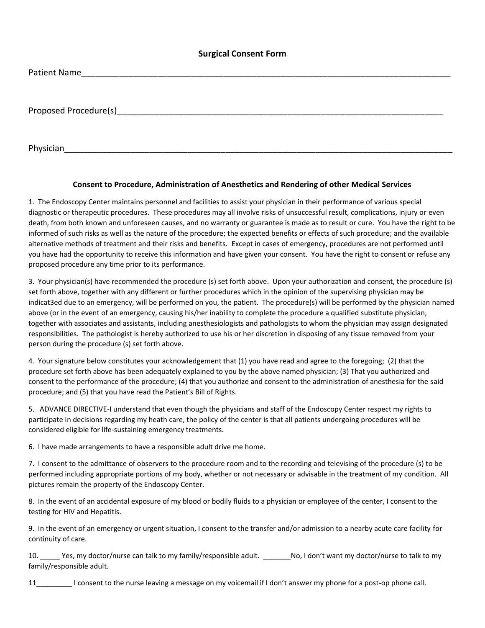## **Surgical Consent Form**

| Patient Name          |  |  |
|-----------------------|--|--|
|                       |  |  |
|                       |  |  |
| Proposed Procedure(s) |  |  |
|                       |  |  |
|                       |  |  |

Physician\_\_\_\_\_\_\_\_\_\_\_\_\_\_\_\_\_\_\_\_\_\_\_\_\_\_\_\_\_\_\_\_\_\_\_\_\_\_\_\_\_\_\_\_\_\_\_\_\_\_\_\_\_\_\_\_\_\_\_\_\_\_\_\_\_\_\_\_\_\_\_\_\_\_\_\_\_\_\_\_\_\_

## **Consent to Procedure, Administration of Anesthetics and Rendering of other Medical Services**

1. The Endoscopy Center maintains personnel and facilities to assist your physician in their performance of various special diagnostic or therapeutic procedures. These procedures may all involve risks of unsuccessful result, complications, injury or even death, from both known and unforeseen causes, and no warranty or guarantee is made as to result or cure. You have the right to be informed of such risks as well as the nature of the procedure; the expected benefits or effects of such procedure; and the available alternative methods of treatment and their risks and benefits. Except in cases of emergency, procedures are not performed until you have had the opportunity to receive this information and have given your consent. You have the right to consent or refuse any proposed procedure any time prior to its performance.

3. Your physician(s) have recommended the procedure (s) set forth above. Upon your authorization and consent, the procedure (s) set forth above, together with any different or further procedures which in the opinion of the supervising physician may be indicat3ed due to an emergency, will be performed on you, the patient. The procedure(s) will be performed by the physician named above (or in the event of an emergency, causing his/her inability to complete the procedure a qualified substitute physician, together with associates and assistants, including anesthesiologists and pathologists to whom the physician may assign designated responsibilities. The pathologist is hereby authorized to use his or her discretion in disposing of any tissue removed from your person during the procedure (s) set forth above.

4. Your signature below constitutes your acknowledgement that (1) you have read and agree to the foregoing; (2) that the procedure set forth above has been adequately explained to you by the above named physician; (3) That you authorized and consent to the performance of the procedure; (4) that you authorize and consent to the administration of anesthesia for the said procedure; and (5) that you have read the Patient's Bill of Rights.

5. ADVANCE DIRECTIVE-I understand that even though the physicians and staff of the Endoscopy Center respect my rights to participate in decisions regarding my heath care, the policy of the center is that all patients undergoing procedures will be considered eligible for life-sustaining emergency treatments.

6. I have made arrangements to have a responsible adult drive me home.

7. I consent to the admittance of observers to the procedure room and to the recording and televising of the procedure (s) to be performed including appropriate portions of my body, whether or not necessary or advisable in the treatment of my condition. All pictures remain the property of the Endoscopy Center.

8. In the event of an accidental exposure of my blood or bodily fluids to a physician or employee of the center, I consent to the testing for HIV and Hepatitis.

9. In the event of an emergency or urgent situation, I consent to the transfer and/or admission to a nearby acute care facility for continuity of care.

10. \_\_\_\_\_ Yes, my doctor/nurse can talk to my family/responsible adult. \_\_\_\_\_\_\_No, I don't want my doctor/nurse to talk to my family/responsible adult.

11\_\_\_\_\_\_\_\_\_ I consent to the nurse leaving a message on my voicemail if I don't answer my phone for a post-op phone call.